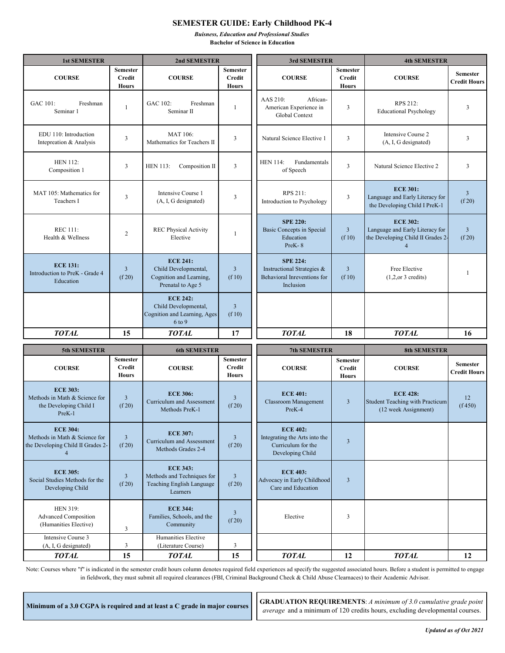## **SEMESTER GUIDE: Early Childhood PK-4**

*Buisness, Education and Professional Studies*  **Bachelor of Science in Education** 

| <b>1st SEMESTER</b>                                                                                     |                                                  | 2nd SEMESTER                                                                            |                                                  | 3rd SEMESTER                                                                               |                                                  | <b>4th SEMESTER</b>                                                                                       |                                        |
|---------------------------------------------------------------------------------------------------------|--------------------------------------------------|-----------------------------------------------------------------------------------------|--------------------------------------------------|--------------------------------------------------------------------------------------------|--------------------------------------------------|-----------------------------------------------------------------------------------------------------------|----------------------------------------|
| <b>COURSE</b>                                                                                           | <b>Semester</b><br><b>Credit</b><br><b>Hours</b> | <b>COURSE</b>                                                                           | <b>Semester</b><br><b>Credit</b><br><b>Hours</b> | <b>COURSE</b>                                                                              | <b>Semester</b><br><b>Credit</b><br><b>Hours</b> | <b>COURSE</b>                                                                                             | <b>Semester</b><br><b>Credit Hours</b> |
| GAC 101:<br>Freshman<br>Seminar 1                                                                       | -1                                               | GAC 102:<br>Freshman<br>Seminar <sub>II</sub>                                           | 1                                                | AAS 210:<br>African-<br>American Experience in<br>Global Context                           | 3                                                | RPS 212:<br><b>Educational Psychology</b>                                                                 | 3                                      |
| EDU 110: Introduction<br>Intepreation & Analysis                                                        | $\overline{3}$                                   | <b>MAT 106:</b><br>Mathematics for Teachers II                                          | 3                                                | Natural Science Elective 1                                                                 | 3                                                | Intensive Course 2<br>(A, I, G designated)                                                                | 3                                      |
| <b>HEN 112:</b><br>Composition 1                                                                        | 3                                                | <b>HEN 113:</b><br>Composition II                                                       | $\overline{3}$                                   | <b>HEN 114:</b><br>Fundamentals<br>of Speech                                               | $\overline{\mathbf{3}}$                          | Natural Science Elective 2                                                                                | 3                                      |
| MAT 105: Mathematics for<br>Teachers I                                                                  | 3                                                | Intensive Course 1<br>(A, I, G designated)                                              | 3                                                | RPS 211:<br>Introduction to Psychology                                                     | $\overline{\mathbf{3}}$                          | <b>ECE 301:</b><br>Language and Early Literacy for<br>the Developing Child I PreK-1                       | $\overline{3}$<br>(f20)                |
| <b>REC 111:</b><br>Health & Wellness                                                                    | $\overline{2}$                                   | <b>REC Physical Activity</b><br>Elective                                                | 1                                                | <b>SPE 220:</b><br>Basic Concepts in Special<br>Education<br>PreK-8                        | $\overline{3}$<br>(f10)                          | <b>ECE 302:</b><br>Language and Early Literacy for<br>the Developing Child II Grades 2-<br>$\overline{4}$ | $\overline{3}$<br>(f20)                |
| <b>ECE 131:</b><br>Introduction to PreK - Grade 4<br>Education                                          | $\overline{3}$<br>(f20)                          | <b>ECE 241:</b><br>Child Developmental,<br>Cognition and Learning,<br>Prenatal to Age 5 | $\overline{3}$<br>(f10)                          | <b>SPE 224:</b><br>Instructional Strategies &<br>Behavioral Inreventions for<br>Inclusion  | $\overline{3}$<br>(f10)                          | Free Elective<br>$(1,2,or 3,c$ redits)                                                                    | -1                                     |
|                                                                                                         |                                                  | <b>ECE 242:</b><br>Child Developmental,<br>Cognition and Learning, Ages<br>6 to 9       | $\overline{3}$<br>(f10)                          |                                                                                            |                                                  |                                                                                                           |                                        |
| <b>TOTAL</b>                                                                                            | 15                                               | TOTAL                                                                                   | 17                                               | <b>TOTAL</b>                                                                               | 18                                               | <b>TOTAL</b>                                                                                              | 16                                     |
| 5th SEMESTER                                                                                            |                                                  | <b>6th SEMESTER</b>                                                                     |                                                  | 7th SEMESTER                                                                               |                                                  | <b>8th SEMESTER</b>                                                                                       |                                        |
| <b>COURSE</b>                                                                                           | <b>Semester</b><br><b>Credit</b><br><b>Hours</b> | <b>COURSE</b>                                                                           | <b>Semester</b><br><b>Credit</b><br><b>Hours</b> | <b>COURSE</b>                                                                              | <b>Semester</b><br><b>Credit</b><br><b>Hours</b> | <b>COURSE</b>                                                                                             | <b>Semester</b><br>Credit Hours        |
| <b>ECE 303:</b><br>Methods in Math & Science for<br>the Developing Child I<br>PreK-1                    | $\overline{3}$<br>(f20)                          | <b>ECE 306:</b><br><b>Curriculum and Assessment</b><br>Methods PreK-1                   | $\overline{3}$<br>(f20)                          | <b>ECE 401:</b><br><b>Classroom Management</b><br>PreK-4                                   | $\overline{\mathbf{3}}$                          | <b>ECE 428:</b><br><b>Student Teaching with Practicum</b><br>(12 week Assignment)                         | 12<br>(f 450)                          |
| <b>ECE 304:</b><br>Methods in Math & Science for<br>the Developing Child II Grades 2-<br>$\overline{4}$ | $\mathfrak{Z}$<br>(f20)                          | <b>ECE 307:</b><br>Curriculum and Assessment<br>Methods Grades 2-4                      | $\overline{3}$<br>(f20)                          | <b>ECE 402:</b><br>Integrating the Arts into the<br>Curriculum for the<br>Developing Child | $\mathfrak{Z}$                                   |                                                                                                           |                                        |
| <b>ECE 305:</b><br>Social Studies Methods for the<br>Developing Child                                   | $\overline{3}$<br>(f20)                          | <b>ECE 343:</b><br>Methods and Techniques for<br>Teaching English Language<br>Learners  | $\mathbf{3}$<br>(f20)                            | <b>ECE 403:</b><br>Advocacy in Early Childhood<br>Care and Education                       | $\overline{3}$                                   |                                                                                                           |                                        |
| <b>HEN 319:</b><br><b>Advanced Composition</b><br>(Humanities Elective)                                 | $\mathfrak{Z}$                                   | <b>ECE 344:</b><br>Families, Schools, and the<br>Community                              | $\overline{3}$<br>(f20)                          | Elective                                                                                   | $\mathfrak{Z}$                                   |                                                                                                           |                                        |
| Intensive Course 3<br>(A, I, G designated)                                                              | 3                                                | Humanities Elective<br>(Literature Course)                                              | 3                                                |                                                                                            |                                                  |                                                                                                           |                                        |
| <b>TOTAL</b>                                                                                            | 15                                               | <b>TOTAL</b>                                                                            | 15                                               | <b>TOTAL</b>                                                                               | 12                                               | <b>TOTAL</b>                                                                                              | 12                                     |

Note: Courses where "f" is indicated in the semester credit hours column denotes required field experiences ad specify the suggested associated hours. Before a student is permitted to engage in fieldwork, they must submit all required clearances (FBI, Criminal Background Check & Child Abuse Clearnaces) to their Academic Advisor.

**Minimum of a 3.0 CGPA is required and at least a C grade in major courses GRADUATION REQUIREMENTS**: *A minimum of 3.0 cumulative grade point average* and a minimum of 120 credits hours, excluding developmental courses.